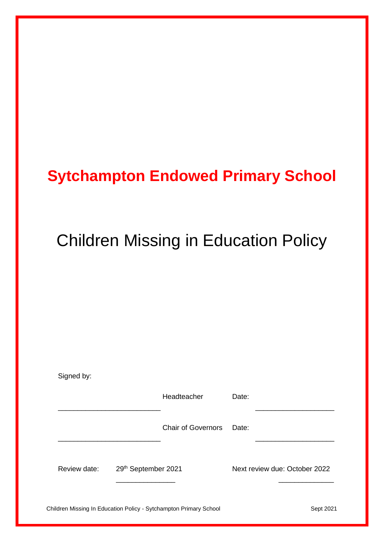## **Sytchampton Endowed Primary School**

# Children Missing in Education Policy

| Signed by:   |                     |                                                                   |                               |
|--------------|---------------------|-------------------------------------------------------------------|-------------------------------|
|              |                     | Headteacher                                                       | Date:                         |
|              |                     | <b>Chair of Governors</b>                                         | Date:                         |
| Review date: | 29th September 2021 |                                                                   | Next review due: October 2022 |
|              |                     | Children Missing In Education Policy - Sytchampton Primary School | Sept 2021                     |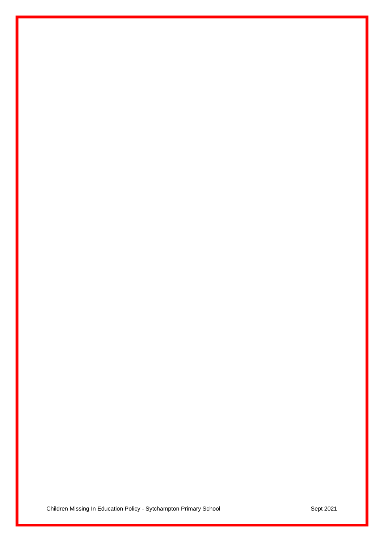Children Missing In Education Policy - Sytchampton Primary School Sept 2021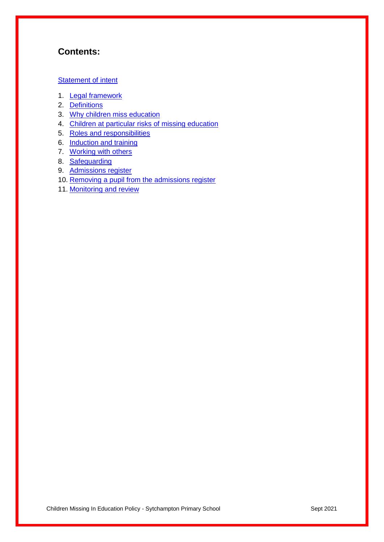## **Contents:**

#### **[Statement of intent](#page-3-0)**

- 1. **[Legal framework](#page-4-0)**
- 2. [Definitions](#page-4-1)
- 3. [Why children miss education](#page-5-0)
- 4. [Children at particular risks of missing education](#page-5-1)
- 5. [Roles and responsibilities](#page-6-0)
- 6. [Induction and training](#page-8-0)
- 7. [Working with others](#page-8-1)
- 8. [Safeguarding](#page-9-0)
- 9. [Admissions register](#page-10-0)
- 10. [Removing a pupil from the admissions register](#page-10-1)
- 11. [Monitoring and review](#page-12-0)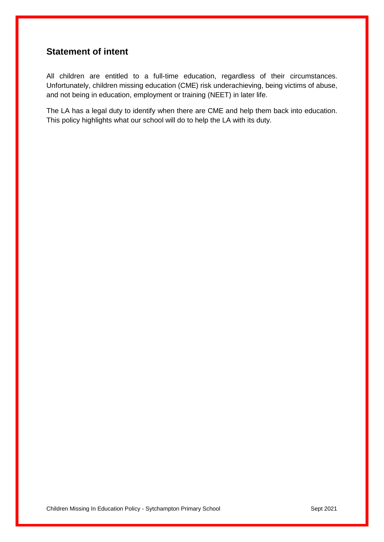## <span id="page-3-0"></span>**Statement of intent**

All children are entitled to a full-time education, regardless of their circumstances. Unfortunately, children missing education (CME) risk underachieving, being victims of abuse, and not being in education, employment or training (NEET) in later life.

The LA has a legal duty to identify when there are CME and help them back into education. This policy highlights what our school will do to help the LA with its duty.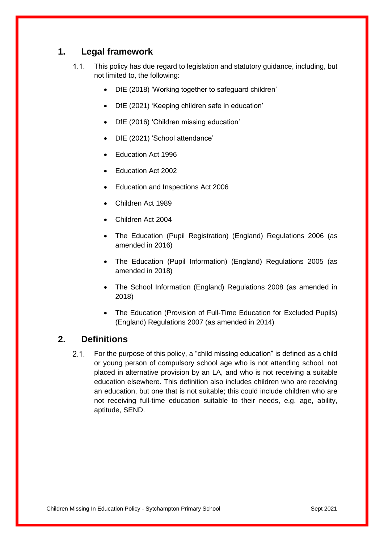## <span id="page-4-0"></span>**1. Legal framework**

- $1.1.$ This policy has due regard to legislation and statutory guidance, including, but not limited to, the following:
	- DfE (2018) 'Working together to safeguard children'
	- DfE (2021) 'Keeping children safe in education'
	- DfE (2016) 'Children missing education'
	- DfE (2021) 'School attendance'
	- Education Act 1996
	- Education Act 2002
	- Education and Inspections Act 2006
	- Children Act 1989
	- Children Act 2004
	- The Education (Pupil Registration) (England) Regulations 2006 (as amended in 2016)
	- The Education (Pupil Information) (England) Regulations 2005 (as amended in 2018)
	- The School Information (England) Regulations 2008 (as amended in 2018)
	- The Education (Provision of Full-Time Education for Excluded Pupils) (England) Regulations 2007 (as amended in 2014)

## <span id="page-4-1"></span>**2. Definitions**

 $2.1.$ For the purpose of this policy, a "child missing education" is defined as a child or young person of compulsory school age who is not attending school, not placed in alternative provision by an LA, and who is not receiving a suitable education elsewhere. This definition also includes children who are receiving an education, but one that is not suitable; this could include children who are not receiving full-time education suitable to their needs, e.g. age, ability, aptitude, SEND.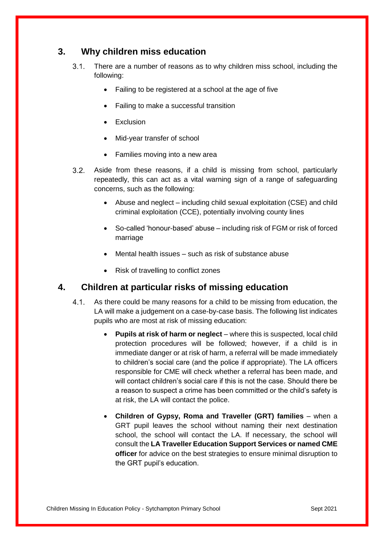## <span id="page-5-0"></span>**3. Why children miss education**

- $3.1.$ There are a number of reasons as to why children miss school, including the following:
	- Failing to be registered at a school at the age of five
	- Failing to make a successful transition
	- Exclusion
	- Mid-year transfer of school
	- Families moving into a new area
- $3.2.$ Aside from these reasons, if a child is missing from school, particularly repeatedly, this can act as a vital warning sign of a range of safeguarding concerns, such as the following:
	- Abuse and neglect including child sexual exploitation (CSE) and child criminal exploitation (CCE), potentially involving county lines
	- So-called 'honour-based' abuse including risk of FGM or risk of forced marriage
	- Mental health issues such as risk of substance abuse
	- Risk of travelling to conflict zones

#### <span id="page-5-1"></span>**4. Children at particular risks of missing education**

- $4.1.$ As there could be many reasons for a child to be missing from education, the LA will make a judgement on a case-by-case basis. The following list indicates pupils who are most at risk of missing education:
	- **Pupils at risk of harm or neglect** where this is suspected, local child protection procedures will be followed; however, if a child is in immediate danger or at risk of harm, a referral will be made immediately to children's social care (and the police if appropriate). The LA officers responsible for CME will check whether a referral has been made, and will contact children's social care if this is not the case. Should there be a reason to suspect a crime has been committed or the child's safety is at risk, the LA will contact the police.
	- **Children of Gypsy, Roma and Traveller (GRT) families** when a GRT pupil leaves the school without naming their next destination school, the school will contact the LA. If necessary, the school will consult the **LA Traveller Education Support Services or named CME officer** for advice on the best strategies to ensure minimal disruption to the GRT pupil's education.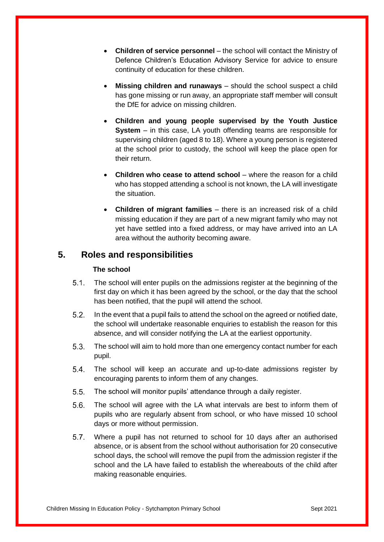- Children of service personnel the school will contact the Ministry of Defence Children's Education Advisory Service for advice to ensure continuity of education for these children.
- **Missing children and runaways** should the school suspect a child has gone missing or run away, an appropriate staff member will consult the DfE for advice on missing children.
- **Children and young people supervised by the Youth Justice System** – in this case, LA youth offending teams are responsible for supervising children (aged 8 to 18). Where a young person is registered at the school prior to custody, the school will keep the place open for their return.
- **Children who cease to attend school** where the reason for a child who has stopped attending a school is not known, the LA will investigate the situation.
- **Children of migrant families**  there is an increased risk of a child missing education if they are part of a new migrant family who may not yet have settled into a fixed address, or may have arrived into an LA area without the authority becoming aware.

## <span id="page-6-0"></span>**5. Roles and responsibilities**

#### **The school**

- $5.1.$ The school will enter pupils on the admissions register at the beginning of the first day on which it has been agreed by the school, or the day that the school has been notified, that the pupil will attend the school.
- $5.2.$ In the event that a pupil fails to attend the school on the agreed or notified date, the school will undertake reasonable enquiries to establish the reason for this absence, and will consider notifying the LA at the earliest opportunity.
- $5.3.$ The school will aim to hold more than one emergency contact number for each pupil.
- $5.4.$ The school will keep an accurate and up-to-date admissions register by encouraging parents to inform them of any changes.
- $5.5.$ The school will monitor pupils' attendance through a daily register.
- $5.6.$ The school will agree with the LA what intervals are best to inform them of pupils who are regularly absent from school, or who have missed 10 school days or more without permission.
- $5.7.$ Where a pupil has not returned to school for 10 days after an authorised absence, or is absent from the school without authorisation for 20 consecutive school days, the school will remove the pupil from the admission register if the school and the LA have failed to establish the whereabouts of the child after making reasonable enquiries.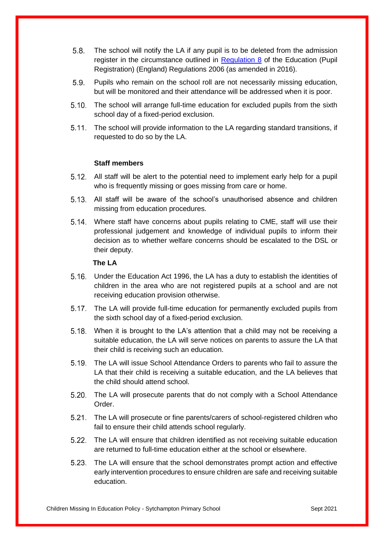- $5.8.$ The school will notify the LA if any pupil is to be deleted from the admission register in the circumstance outlined in [Regulation 8](https://www.legislation.gov.uk/uksi/2006/1751/regulation/8) of the Education (Pupil Registration) (England) Regulations 2006 (as amended in 2016).
- $5.9.$ Pupils who remain on the school roll are not necessarily missing education, but will be monitored and their attendance will be addressed when it is poor.
- The school will arrange full-time education for excluded pupils from the sixth school day of a fixed-period exclusion.
- The school will provide information to the LA regarding standard transitions, if requested to do so by the LA.

#### **Staff members**

- All staff will be alert to the potential need to implement early help for a pupil who is frequently missing or goes missing from care or home.
- 5.13. All staff will be aware of the school's unauthorised absence and children missing from education procedures.
- Where staff have concerns about pupils relating to CME, staff will use their professional judgement and knowledge of individual pupils to inform their decision as to whether welfare concerns should be escalated to the DSL or their deputy.

#### **The LA**

- Under the Education Act 1996, the LA has a duty to establish the identities of children in the area who are not registered pupils at a school and are not receiving education provision otherwise.
- 5.17. The LA will provide full-time education for permanently excluded pupils from the sixth school day of a fixed-period exclusion.
- When it is brought to the LA's attention that a child may not be receiving a suitable education, the LA will serve notices on parents to assure the LA that their child is receiving such an education.
- The LA will issue School Attendance Orders to parents who fail to assure the LA that their child is receiving a suitable education, and the LA believes that the child should attend school.
- The LA will prosecute parents that do not comply with a School Attendance Order.
- The LA will prosecute or fine parents/carers of school-registered children who fail to ensure their child attends school regularly.
- The LA will ensure that children identified as not receiving suitable education are returned to full-time education either at the school or elsewhere.
- The LA will ensure that the school demonstrates prompt action and effective early intervention procedures to ensure children are safe and receiving suitable education.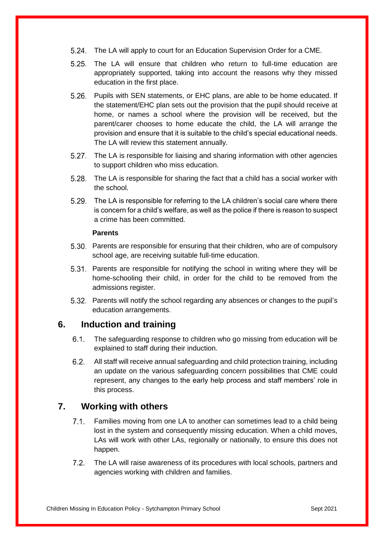- 5.24. The LA will apply to court for an Education Supervision Order for a CME.
- The LA will ensure that children who return to full-time education are appropriately supported, taking into account the reasons why they missed education in the first place.
- 5.26. Pupils with SEN statements, or EHC plans, are able to be home educated. If the statement/EHC plan sets out the provision that the pupil should receive at home, or names a school where the provision will be received, but the parent/carer chooses to home educate the child, the LA will arrange the provision and ensure that it is suitable to the child's special educational needs. The LA will review this statement annually.
- 5.27. The LA is responsible for liaising and sharing information with other agencies to support children who miss education.
- The LA is responsible for sharing the fact that a child has a social worker with the school.
- The LA is responsible for referring to the LA children's social care where there is concern for a child's welfare, as well as the police if there is reason to suspect a crime has been committed.

#### **Parents**

- 5.30. Parents are responsible for ensuring that their children, who are of compulsory school age, are receiving suitable full-time education.
- 5.31. Parents are responsible for notifying the school in writing where they will be home-schooling their child, in order for the child to be removed from the admissions register.
- Parents will notify the school regarding any absences or changes to the pupil's education arrangements.

### <span id="page-8-0"></span>**6. Induction and training**

- $6.1.$ The safeguarding response to children who go missing from education will be explained to staff during their induction.
- $6.2.$ All staff will receive annual safeguarding and child protection training, including an update on the various safeguarding concern possibilities that CME could represent, any changes to the early help process and staff members' role in this process.

## <span id="page-8-1"></span>**7. Working with others**

- $7.1$ Families moving from one LA to another can sometimes lead to a child being lost in the system and consequently missing education. When a child moves, LAs will work with other LAs, regionally or nationally, to ensure this does not happen.
- $7.2$ The LA will raise awareness of its procedures with local schools, partners and agencies working with children and families.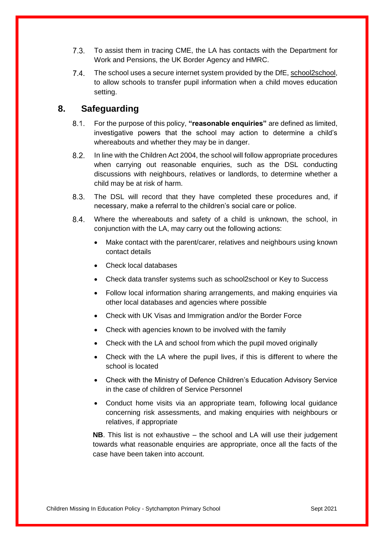- $7.3.$ To assist them in tracing CME, the LA has contacts with the Department for Work and Pensions, the UK Border Agency and HMRC.
- $7.4.$ The school uses a secure internet system provided by the DfE, school2school, to allow schools to transfer pupil information when a child moves education setting.

## <span id="page-9-0"></span>**8. Safeguarding**

- $8.1.$ For the purpose of this policy, **"reasonable enquiries"** are defined as limited, investigative powers that the school may action to determine a child's whereabouts and whether they may be in danger.
- $8.2.$ In line with the Children Act 2004, the school will follow appropriate procedures when carrying out reasonable enquiries, such as the DSL conducting discussions with neighbours, relatives or landlords, to determine whether a child may be at risk of harm.
- $8.3.$ The DSL will record that they have completed these procedures and, if necessary, make a referral to the children's social care or police.
- $8.4.$ Where the whereabouts and safety of a child is unknown, the school, in conjunction with the LA, may carry out the following actions:
	- Make contact with the parent/carer, relatives and neighbours using known contact details
	- Check local databases
	- Check data transfer systems such as school2school or Key to Success
	- Follow local information sharing arrangements, and making enquiries via other local databases and agencies where possible
	- Check with UK Visas and Immigration and/or the Border Force
	- Check with agencies known to be involved with the family
	- Check with the LA and school from which the pupil moved originally
	- Check with the LA where the pupil lives, if this is different to where the school is located
	- Check with the Ministry of Defence Children's Education Advisory Service in the case of children of Service Personnel
	- Conduct home visits via an appropriate team, following local guidance concerning risk assessments, and making enquiries with neighbours or relatives, if appropriate

**NB**. This list is not exhaustive – the school and LA will use their judgement towards what reasonable enquiries are appropriate, once all the facts of the case have been taken into account.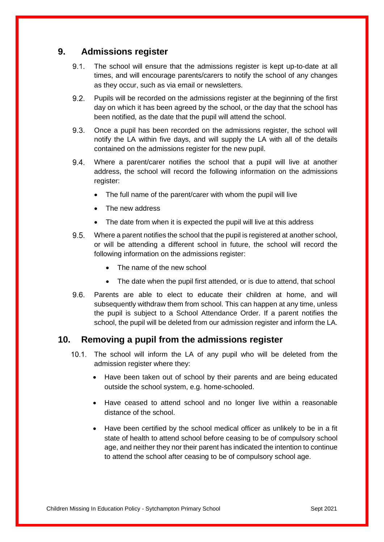## <span id="page-10-0"></span>**9. Admissions register**

- $9.1.$ The school will ensure that the admissions register is kept up-to-date at all times, and will encourage parents/carers to notify the school of any changes as they occur, such as via email or newsletters.
- $9.2.$ Pupils will be recorded on the admissions register at the beginning of the first day on which it has been agreed by the school, or the day that the school has been notified, as the date that the pupil will attend the school.
- $9.3.$ Once a pupil has been recorded on the admissions register, the school will notify the LA within five days, and will supply the LA with all of the details contained on the admissions register for the new pupil.
- $9.4.$ Where a parent/carer notifies the school that a pupil will live at another address, the school will record the following information on the admissions register:
	- The full name of the parent/carer with whom the pupil will live
	- The new address
	- The date from when it is expected the pupil will live at this address
- $9.5$ Where a parent notifies the school that the pupil is registered at another school, or will be attending a different school in future, the school will record the following information on the admissions register:
	- The name of the new school
	- The date when the pupil first attended, or is due to attend, that school
- $96$ Parents are able to elect to educate their children at home, and will subsequently withdraw them from school. This can happen at any time, unless the pupil is subject to a School Attendance Order. If a parent notifies the school, the pupil will be deleted from our admission register and inform the LA.

#### <span id="page-10-1"></span>**10. Removing a pupil from the admissions register**

- 10.1. The school will inform the LA of any pupil who will be deleted from the admission register where they:
	- Have been taken out of school by their parents and are being educated outside the school system, e.g. home-schooled.
	- Have ceased to attend school and no longer live within a reasonable distance of the school.
	- Have been certified by the school medical officer as unlikely to be in a fit state of health to attend school before ceasing to be of compulsory school age, and neither they nor their parent has indicated the intention to continue to attend the school after ceasing to be of compulsory school age.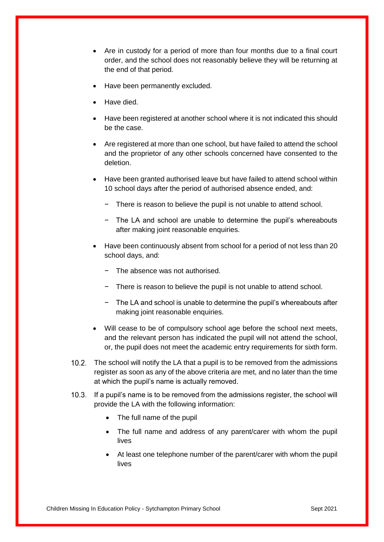- Are in custody for a period of more than four months due to a final court order, and the school does not reasonably believe they will be returning at the end of that period.
- Have been permanently excluded.
- Have died.
- Have been registered at another school where it is not indicated this should be the case.
- Are registered at more than one school, but have failed to attend the school and the proprietor of any other schools concerned have consented to the deletion.
- Have been granted authorised leave but have failed to attend school within 10 school days after the period of authorised absence ended, and:
	- There is reason to believe the pupil is not unable to attend school.
	- − The LA and school are unable to determine the pupil's whereabouts after making joint reasonable enquiries.
- Have been continuously absent from school for a period of not less than 20 school days, and:
	- The absence was not authorised.
	- − There is reason to believe the pupil is not unable to attend school.
	- − The LA and school is unable to determine the pupil's whereabouts after making joint reasonable enquiries.
- Will cease to be of compulsory school age before the school next meets, and the relevant person has indicated the pupil will not attend the school, or, the pupil does not meet the academic entry requirements for sixth form.
- 10.2. The school will notify the LA that a pupil is to be removed from the admissions register as soon as any of the above criteria are met, and no later than the time at which the pupil's name is actually removed.
- 10.3. If a pupil's name is to be removed from the admissions register, the school will provide the LA with the following information:
	- The full name of the pupil
	- The full name and address of any parent/carer with whom the pupil lives
	- At least one telephone number of the parent/carer with whom the pupil lives